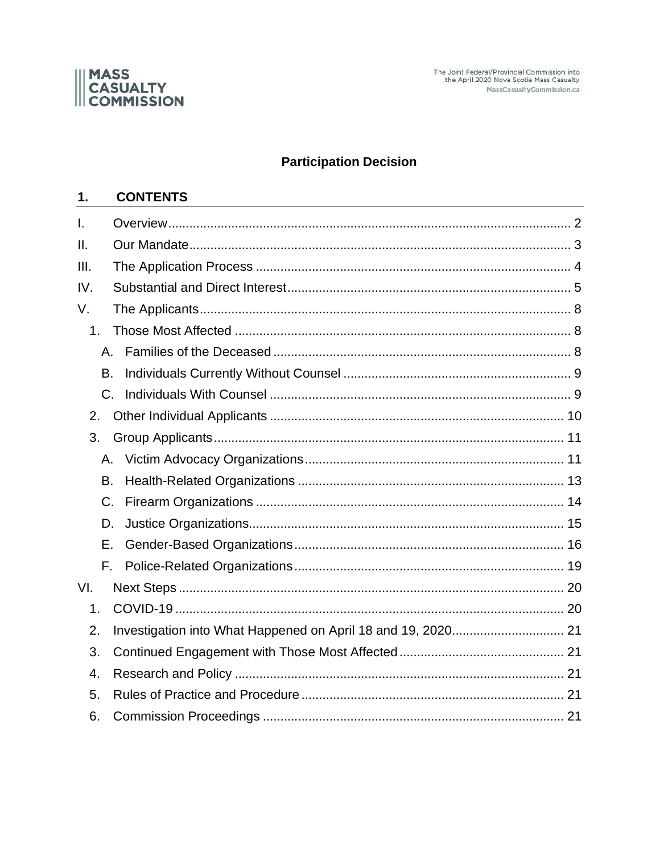

The Joint Federal/Provincial Commission into<br>the April 2020 Nova Scotia Mass Casualty MassCasualtyCommission.ca

# **Participation Decision**

#### $1.$ **CONTENTS**

<span id="page-0-0"></span>

| $\mathsf{L}$   |         |  |
|----------------|---------|--|
| II.            |         |  |
| III.           |         |  |
| IV.            |         |  |
| V.             |         |  |
| 1 <sub>1</sub> |         |  |
|                | $A_{1}$ |  |
| <b>B.</b>      |         |  |
| $C_{\cdot}$    |         |  |
| 2.             |         |  |
| 3.             |         |  |
|                | A.      |  |
| <b>B.</b>      |         |  |
| $C_{\cdot}$    |         |  |
| D.             |         |  |
| Ε.             |         |  |
|                | F.      |  |
| VI.            |         |  |
| 1.             |         |  |
| 2.             |         |  |
| 3.             |         |  |
| 4.             |         |  |
| 5.             |         |  |
| 6.             |         |  |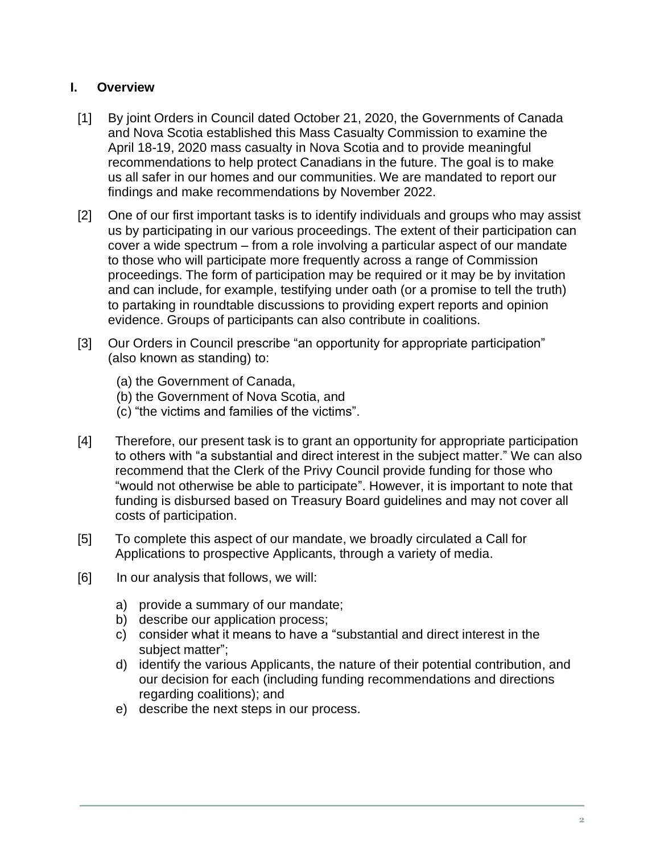## **I. Overview**

- [1] By joint Orders in Council dated October 21, 2020, the Governments of Canada and Nova Scotia established this Mass Casualty Commission to examine the April 18-19, 2020 mass casualty in Nova Scotia and to provide meaningful recommendations to help protect Canadians in the future. The goal is to make us all safer in our homes and our communities. We are mandated to report our findings and make recommendations by November 2022.
- [2] One of our first important tasks is to identify individuals and groups who may assist us by participating in our various proceedings. The extent of their participation can cover a wide spectrum – from a role involving a particular aspect of our mandate to those who will participate more frequently across a range of Commission proceedings. The form of participation may be required or it may be by invitation and can include, for example, testifying under oath (or a promise to tell the truth) to partaking in roundtable discussions to providing expert reports and opinion evidence. Groups of participants can also contribute in coalitions.
- [3] Our Orders in Council prescribe "an opportunity for appropriate participation" (also known as standing) to:
	- (a) the Government of Canada,
	- (b) the Government of Nova Scotia, and
	- (c) "the victims and families of the victims".
- [4] Therefore, our present task is to grant an opportunity for appropriate participation to others with "a substantial and direct interest in the subject matter." We can also recommend that the Clerk of the Privy Council provide funding for those who "would not otherwise be able to participate". However, it is important to note that funding is disbursed based on Treasury Board guidelines and may not cover all costs of participation.
- [5] To complete this aspect of our mandate, we broadly circulated a Call for Applications to prospective Applicants, through a variety of media.
- [6] In our analysis that follows, we will:
	- a) provide a summary of our mandate;
	- b) describe our application process;
	- c) consider what it means to have a "substantial and direct interest in the subject matter";
	- d) identify the various Applicants, the nature of their potential contribution, and our decision for each (including funding recommendations and directions regarding coalitions); and
	- e) describe the next steps in our process.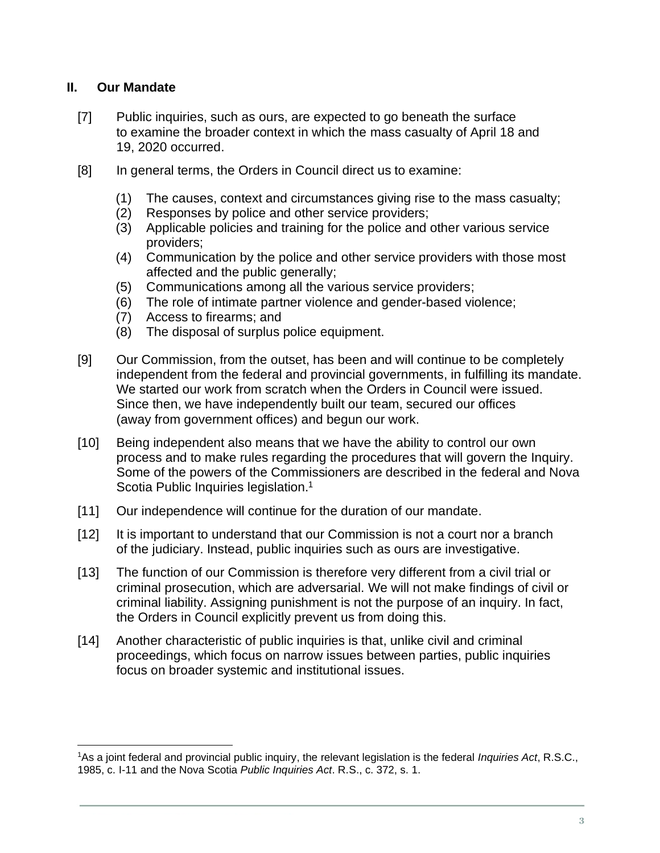## <span id="page-2-0"></span>**II. Our Mandate**

- [7] Public inquiries, such as ours, are expected to go beneath the surface to examine the broader context in which the mass casualty of April 18 and 19, 2020 occurred.
- [8] In general terms, the Orders in Council direct us to examine:
	- (1) The causes, context and circumstances giving rise to the mass casualty;
	- (2) Responses by police and other service providers;
	- (3) Applicable policies and training for the police and other various service providers;
	- (4) Communication by the police and other service providers with those most affected and the public generally;
	- (5) Communications among all the various service providers;
	- (6) The role of intimate partner violence and gender-based violence;
	- (7) Access to firearms; and
	- (8) The disposal of surplus police equipment.
- [9] Our Commission, from the outset, has been and will continue to be completely independent from the federal and provincial governments, in fulfilling its mandate. We started our work from scratch when the Orders in Council were issued. Since then, we have independently built our team, secured our offices (away from government offices) and begun our work.
- [10] Being independent also means that we have the ability to control our own process and to make rules regarding the procedures that will govern the Inquiry. Some of the powers of the Commissioners are described in the federal and Nova Scotia Public Inquiries legislation.<sup>1</sup>
- [11] Our independence will continue for the duration of our mandate.
- [12] It is important to understand that our Commission is not a court nor a branch of the judiciary. Instead, public inquiries such as ours are investigative.
- [13] The function of our Commission is therefore very different from a civil trial or criminal prosecution, which are adversarial. We will not make findings of civil or criminal liability. Assigning punishment is not the purpose of an inquiry. In fact, the Orders in Council explicitly prevent us from doing this.
- [14] Another characteristic of public inquiries is that, unlike civil and criminal proceedings, which focus on narrow issues between parties, public inquiries focus on broader systemic and institutional issues.

<sup>1</sup>As a joint federal and provincial public inquiry, the relevant legislation is the federal *Inquiries Act*, R.S.C., 1985, c. I-11 and the Nova Scotia *Public Inquiries Act*. R.S., c. 372, s. 1.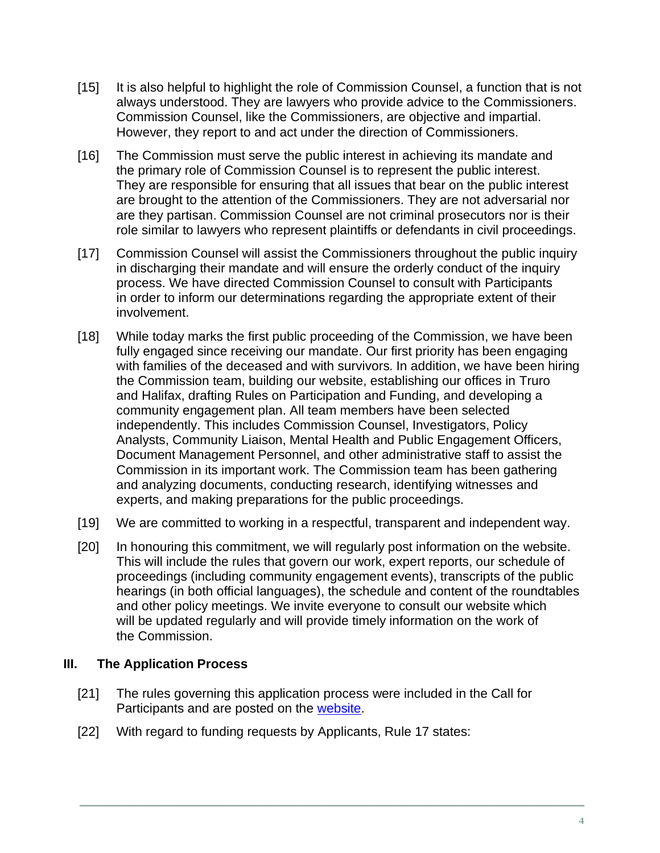- [15] It is also helpful to highlight the role of Commission Counsel, a function that is not always understood. They are lawyers who provide advice to the Commissioners. Commission Counsel, like the Commissioners, are objective and impartial. However, they report to and act under the direction of Commissioners.
- [16] The Commission must serve the public interest in achieving its mandate and the primary role of Commission Counsel is to represent the public interest. They are responsible for ensuring that all issues that bear on the public interest are brought to the attention of the Commissioners. They are not adversarial nor are they partisan. Commission Counsel are not criminal prosecutors nor is their role similar to lawyers who represent plaintiffs or defendants in civil proceedings.
- [17] Commission Counsel will assist the Commissioners throughout the public inquiry in discharging their mandate and will ensure the orderly conduct of the inquiry process. We have directed Commission Counsel to consult with Participants in order to inform our determinations regarding the appropriate extent of their involvement.
- [18] While today marks the first public proceeding of the Commission, we have been fully engaged since receiving our mandate. Our first priority has been engaging with families of the deceased and with survivors. In addition, we have been hiring the Commission team, building our website, establishing our offices in Truro and Halifax, drafting Rules on Participation and Funding, and developing a community engagement plan. All team members have been selected independently. This includes Commission Counsel, Investigators, Policy Analysts, Community Liaison, Mental Health and Public Engagement Officers, Document Management Personnel, and other administrative staff to assist the Commission in its important work. The Commission team has been gathering and analyzing documents, conducting research, identifying witnesses and experts, and making preparations for the public proceedings.
- [19] We are committed to working in a respectful, transparent and independent way.
- [20] In honouring this commitment, we will regularly post information on the website. This will include the rules that govern our work, expert reports, our schedule of proceedings (including community engagement events), transcripts of the public hearings (in both official languages), the schedule and content of the roundtables and other policy meetings. We invite everyone to consult our website which will be updated regularly and will provide timely information on the work of the Commission.

#### <span id="page-3-0"></span>**III. The Application Process**

- [21] The rules governing this application process were included in the Call for Participants and are posted on the [website.](https://masscasualtycommission.ca/files/documents/participation/Applications-for-Participation-Rules-on-participation-and-funding.pdf)
- [22] With regard to funding requests by Applicants, Rule 17 states: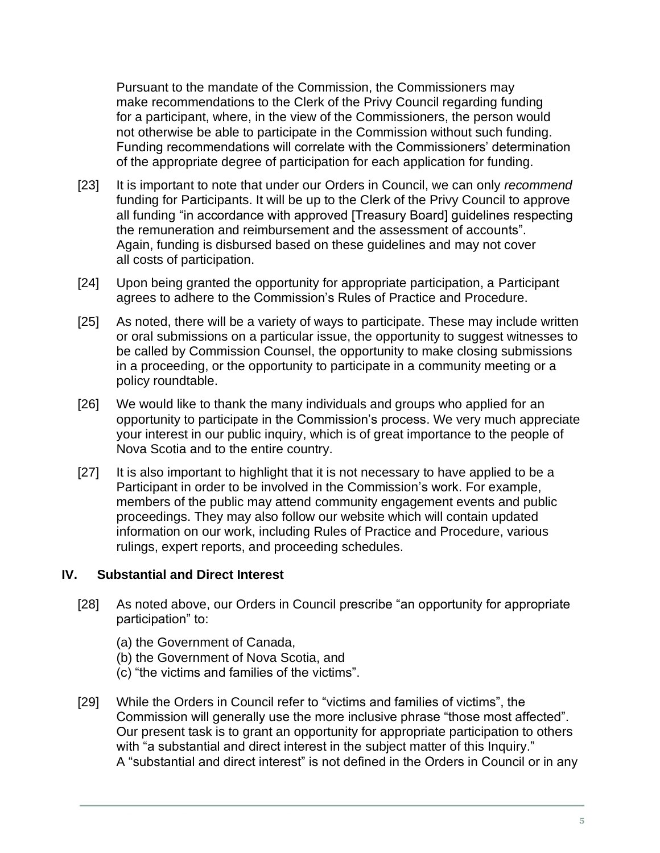Pursuant to the mandate of the Commission, the Commissioners may make recommendations to the Clerk of the Privy Council regarding funding for a participant, where, in the view of the Commissioners, the person would not otherwise be able to participate in the Commission without such funding. Funding recommendations will correlate with the Commissioners' determination of the appropriate degree of participation for each application for funding.

- [23] It is important to note that under our Orders in Council, we can only *recommend* funding for Participants. It will be up to the Clerk of the Privy Council to approve all funding "in accordance with approved [Treasury Board] guidelines respecting the remuneration and reimbursement and the assessment of accounts". Again, funding is disbursed based on these guidelines and may not cover all costs of participation.
- [24] Upon being granted the opportunity for appropriate participation, a Participant agrees to adhere to the Commission's Rules of Practice and Procedure.
- [25] As noted, there will be a variety of ways to participate. These may include written or oral submissions on a particular issue, the opportunity to suggest witnesses to be called by Commission Counsel, the opportunity to make closing submissions in a proceeding, or the opportunity to participate in a community meeting or a policy roundtable.
- [26] We would like to thank the many individuals and groups who applied for an opportunity to participate in the Commission's process. We very much appreciate your interest in our public inquiry, which is of great importance to the people of Nova Scotia and to the entire country.
- [27] It is also important to highlight that it is not necessary to have applied to be a Participant in order to be involved in the Commission's work. For example, members of the public may attend community engagement events and public proceedings. They may also follow our website which will contain updated information on our work, including Rules of Practice and Procedure, various rulings, expert reports, and proceeding schedules.

#### <span id="page-4-0"></span>**IV. Substantial and Direct Interest**

- [28] As noted above, our Orders in Council prescribe "an opportunity for appropriate participation" to:
	- (a) the Government of Canada,
	- (b) the Government of Nova Scotia, and
	- (c) "the victims and families of the victims".
- [29] While the Orders in Council refer to "victims and families of victims", the Commission will generally use the more inclusive phrase "those most affected". Our present task is to grant an opportunity for appropriate participation to others with "a substantial and direct interest in the subject matter of this Inquiry." A "substantial and direct interest" is not defined in the Orders in Council or in any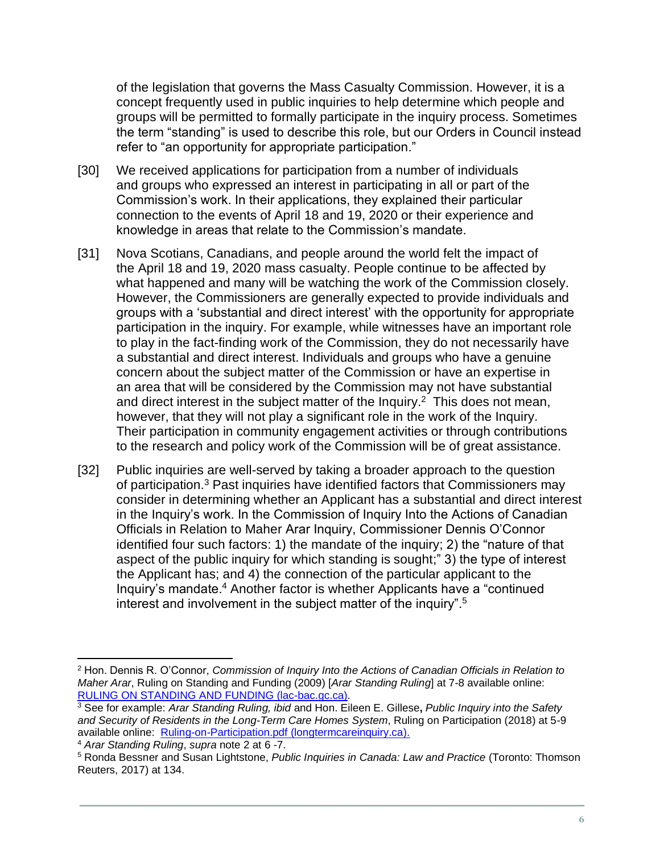of the legislation that governs the Mass Casualty Commission. However, it is a concept frequently used in public inquiries to help determine which people and groups will be permitted to formally participate in the inquiry process. Sometimes the term "standing" is used to describe this role, but our Orders in Council instead refer to "an opportunity for appropriate participation."

- [30] We received applications for participation from a number of individuals and groups who expressed an interest in participating in all or part of the Commission's work. In their applications, they explained their particular connection to the events of April 18 and 19, 2020 or their experience and knowledge in areas that relate to the Commission's mandate.
- [31] Nova Scotians, Canadians, and people around the world felt the impact of the April 18 and 19, 2020 mass casualty. People continue to be affected by what happened and many will be watching the work of the Commission closely. However, the Commissioners are generally expected to provide individuals and groups with a 'substantial and direct interest' with the opportunity for appropriate participation in the inquiry. For example, while witnesses have an important role to play in the fact-finding work of the Commission, they do not necessarily have a substantial and direct interest. Individuals and groups who have a genuine concern about the subject matter of the Commission or have an expertise in an area that will be considered by the Commission may not have substantial and direct interest in the subject matter of the Inquiry. $2$  This does not mean, however, that they will not play a significant role in the work of the Inquiry. Their participation in community engagement activities or through contributions to the research and policy work of the Commission will be of great assistance.
- [32] Public inquiries are well-served by taking a broader approach to the question of participation.<sup>3</sup> Past inquiries have identified factors that Commissioners may consider in determining whether an Applicant has a substantial and direct interest in the Inquiry's work. In the Commission of Inquiry Into the Actions of Canadian Officials in Relation to Maher Arar Inquiry, Commissioner Dennis O'Connor identified four such factors: 1) the mandate of the inquiry; 2) the "nature of that aspect of the public inquiry for which standing is sought;" 3) the type of interest the Applicant has; and 4) the connection of the particular applicant to the Inquiry's mandate.<sup>4</sup> Another factor is whether Applicants have a "continued interest and involvement in the subject matter of the inquiry".<sup>5</sup>

<sup>2</sup> Hon. Dennis R. O'Connor, *Commission of Inquiry Into the Actions of Canadian Officials in Relation to Maher Arar*, Ruling on Standing and Funding (2009) [*Arar Standing Ruling*] at 7-8 available online: [RULING ON STANDING AND FUNDING \(lac-bac.gc.ca\).](https://epe.lac-bac.gc.ca/100/206/301/pco-bcp/commissions/maher_arar/07-09-13/www.ararcommission.ca/eng/ruling01.pdf)

<sup>3</sup> See for example: *Arar Standing Ruling, ibid* and Hon. Eileen E. Gillese**,** *Public Inquiry into the Safety and Security of Residents in the Long-Term Care Homes System*, Ruling on Participation (2018) at 5-9 available online: [Ruling-on-Participation.pdf \(longtermcareinquiry.ca\).](http://longtermcareinquiry.ca/wp-content/uploads/Ruling-on-Participation.pdf)

<sup>4</sup> *Arar Standing Ruling*, *supra* note 2 at 6 -7.

<sup>5</sup> Ronda Bessner and Susan Lightstone, *Public Inquiries in Canada: Law and Practice* (Toronto: Thomson Reuters, 2017) at 134.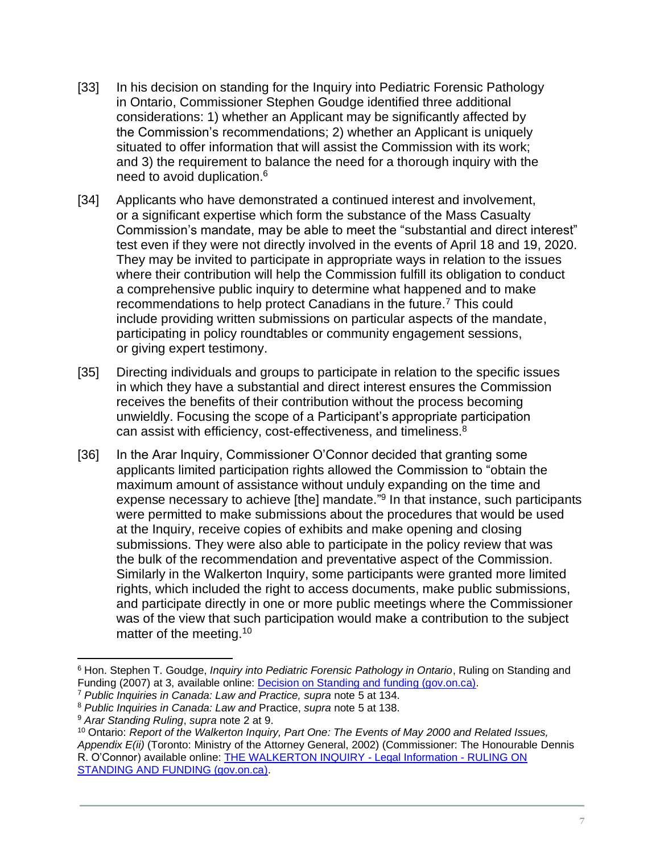- [33] In his decision on standing for the Inquiry into Pediatric Forensic Pathology in Ontario, Commissioner Stephen Goudge identified three additional considerations: 1) whether an Applicant may be significantly affected by the Commission's recommendations; 2) whether an Applicant is uniquely situated to offer information that will assist the Commission with its work; and 3) the requirement to balance the need for a thorough inquiry with the need to avoid duplication.<sup>6</sup>
- [34] Applicants who have demonstrated a continued interest and involvement, or a significant expertise which form the substance of the Mass Casualty Commission's mandate, may be able to meet the "substantial and direct interest" test even if they were not directly involved in the events of April 18 and 19, 2020. They may be invited to participate in appropriate ways in relation to the issues where their contribution will help the Commission fulfill its obligation to conduct a comprehensive public inquiry to determine what happened and to make recommendations to help protect Canadians in the future.<sup>7</sup> This could include providing written submissions on particular aspects of the mandate, participating in policy roundtables or community engagement sessions, or giving expert testimony.
- [35] Directing individuals and groups to participate in relation to the specific issues in which they have a substantial and direct interest ensures the Commission receives the benefits of their contribution without the process becoming unwieldly. Focusing the scope of a Participant's appropriate participation can assist with efficiency, cost-effectiveness, and timeliness.<sup>8</sup>
- [36] In the Arar Inquiry, Commissioner O'Connor decided that granting some applicants limited participation rights allowed the Commission to "obtain the maximum amount of assistance without unduly expanding on the time and expense necessary to achieve [the] mandate."<sup>9</sup> In that instance, such participants were permitted to make submissions about the procedures that would be used at the Inquiry, receive copies of exhibits and make opening and closing submissions. They were also able to participate in the policy review that was the bulk of the recommendation and preventative aspect of the Commission. Similarly in the Walkerton Inquiry, some participants were granted more limited rights, which included the right to access documents, make public submissions, and participate directly in one or more public meetings where the Commissioner was of the view that such participation would make a contribution to the subject matter of the meeting.<sup>10</sup>

<sup>6</sup> Hon. Stephen T. Goudge, *Inquiry into Pediatric Forensic Pathology in Ontario*, Ruling on Standing and Funding (2007) at 3, available online: [Decision on Standing and funding \(gov.on.ca\).](https://www.attorneygeneral.jus.gov.on.ca/inquiries/goudge/li/pdf/Decision_on_Standing_and_Funding_en.pdf)

<sup>7</sup> *Public Inquiries in Canada: Law and Practice, supra* note 5 at 134.

<sup>8</sup> *Public Inquiries in Canada: Law and* Practice, *supra* note 5 at 138.

<sup>9</sup> *Arar Standing Ruling*, *supra* note 2 at 9.

<sup>10</sup> Ontario: *Report of the Walkerton Inquiry, Part One: The Events of May 2000 and Related Issues, Appendix E(ii)* (Toronto: Ministry of the Attorney General, 2002) (Commissioner: The Honourable Dennis R. O'Connor) available online: [THE WALKERTON INQUIRY -](http://www.archives.gov.on.ca/en/e_records/walkerton/legalinfo/docs/ruling.html) Legal Information - RULING ON [STANDING AND FUNDING \(gov.on.ca\).](http://www.archives.gov.on.ca/en/e_records/walkerton/legalinfo/docs/ruling.html)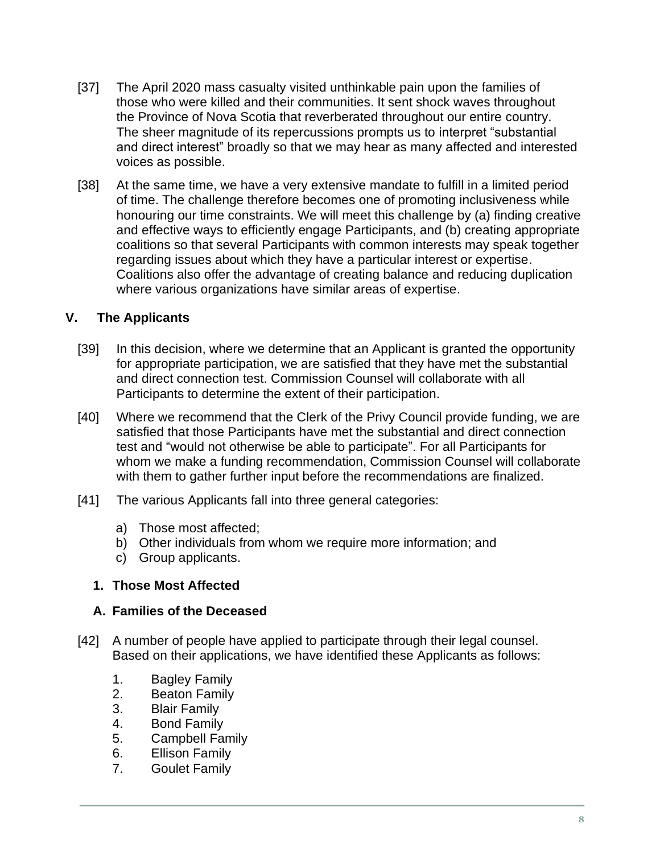- [37] The April 2020 mass casualty visited unthinkable pain upon the families of those who were killed and their communities. It sent shock waves throughout the Province of Nova Scotia that reverberated throughout our entire country. The sheer magnitude of its repercussions prompts us to interpret "substantial and direct interest" broadly so that we may hear as many affected and interested voices as possible.
- [38] At the same time, we have a very extensive mandate to fulfill in a limited period of time. The challenge therefore becomes one of promoting inclusiveness while honouring our time constraints. We will meet this challenge by (a) finding creative and effective ways to efficiently engage Participants, and (b) creating appropriate coalitions so that several Participants with common interests may speak together regarding issues about which they have a particular interest or expertise. Coalitions also offer the advantage of creating balance and reducing duplication where various organizations have similar areas of expertise.

## <span id="page-7-0"></span>**V. The Applicants**

- [39] In this decision, where we determine that an Applicant is granted the opportunity for appropriate participation, we are satisfied that they have met the substantial and direct connection test. Commission Counsel will collaborate with all Participants to determine the extent of their participation.
- [40] Where we recommend that the Clerk of the Privy Council provide funding, we are satisfied that those Participants have met the substantial and direct connection test and "would not otherwise be able to participate". For all Participants for whom we make a funding recommendation, Commission Counsel will collaborate with them to gather further input before the recommendations are finalized.
- [41] The various Applicants fall into three general categories:
	- a) Those most affected;
	- b) Other individuals from whom we require more information; and
	- c) Group applicants.

#### <span id="page-7-1"></span>**1. Those Most Affected**

#### <span id="page-7-2"></span>**A. Families of the Deceased**

- [42] A number of people have applied to participate through their legal counsel. Based on their applications, we have identified these Applicants as follows:
	- 1. Bagley Family
	- 2. Beaton Family
	- 3. Blair Family
	- 4. Bond Family
	- 5. Campbell Family
	- 6. Ellison Family
	- 7. Goulet Family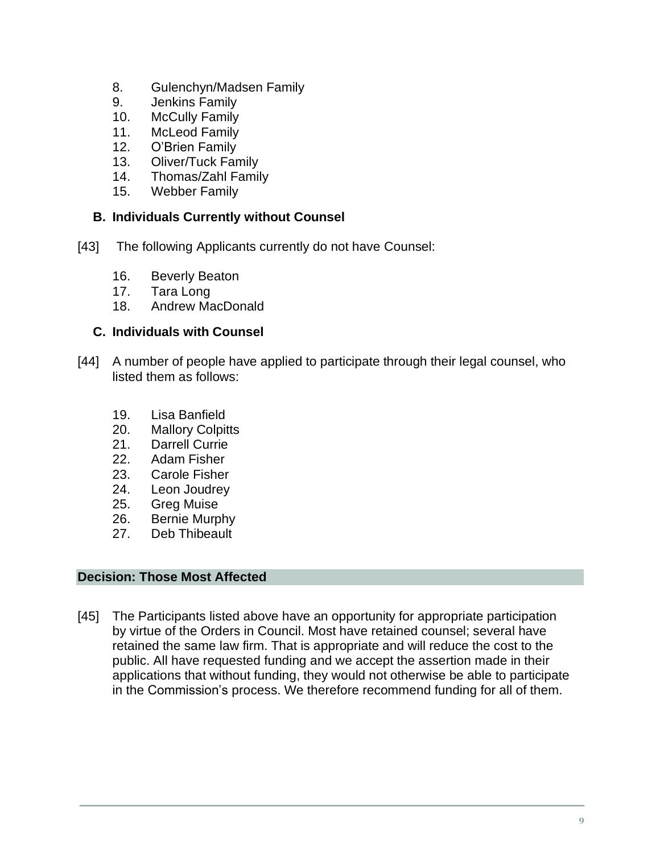- 8. Gulenchyn/Madsen Family
- 9. Jenkins Family
- 10. McCully Family
- 11. McLeod Family
- 12. O'Brien Family
- 13. Oliver/Tuck Family
- 14. Thomas/Zahl Family
- 15. Webber Family

#### <span id="page-8-0"></span>**B. Individuals Currently without Counsel**

- [43] The following Applicants currently do not have Counsel:
	- 16. Beverly Beaton
	- 17. Tara Long
	- 18. Andrew MacDonald

## <span id="page-8-1"></span>**C. Individuals with Counsel**

- [44] A number of people have applied to participate through their legal counsel, who listed them as follows:
	- 19. Lisa Banfield
	- 20. Mallory Colpitts
	- 21. Darrell Currie
	- 22. Adam Fisher
	- 23. Carole Fisher
	- 24. Leon Joudrey
	- 25. Greg Muise
	- 26. Bernie Murphy
	- 27. Deb Thibeault

## **Decision: Those Most Affected**

[45] The Participants listed above have an opportunity for appropriate participation by virtue of the Orders in Council. Most have retained counsel; several have retained the same law firm. That is appropriate and will reduce the cost to the public. All have requested funding and we accept the assertion made in their applications that without funding, they would not otherwise be able to participate in the Commission's process. We therefore recommend funding for all of them.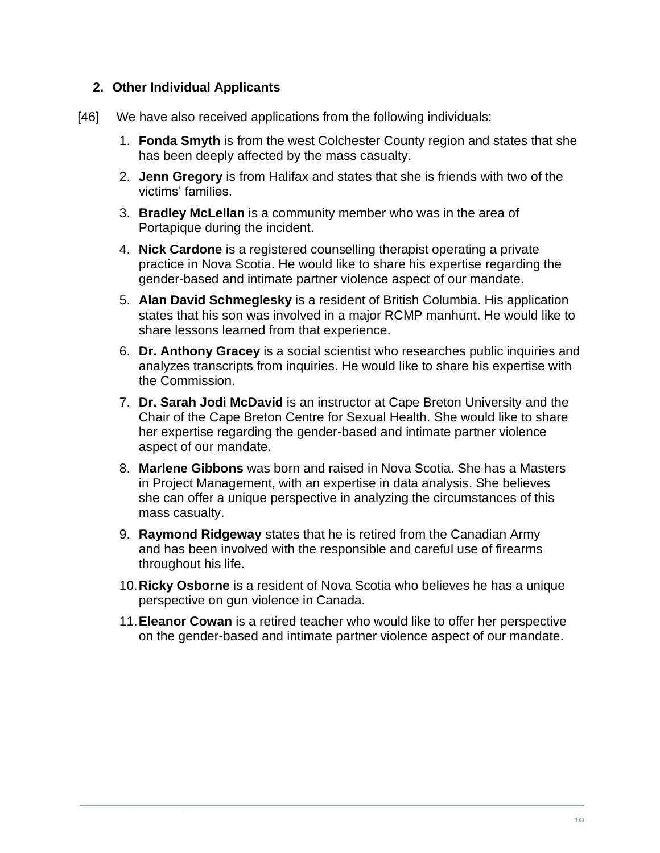## <span id="page-9-0"></span>**2. Other Individual Applicants**

- [46] We have also received applications from the following individuals:
	- 1. **Fonda Smyth** is from the west Colchester County region and states that she has been deeply affected by the mass casualty.
	- 2. **Jenn Gregory** is from Halifax and states that she is friends with two of the victims' families.
	- 3. **Bradley McLellan** is a community member who was in the area of Portapique during the incident.
	- 4. **Nick Cardone** is a registered counselling therapist operating a private practice in Nova Scotia. He would like to share his expertise regarding the gender-based and intimate partner violence aspect of our mandate.
	- 5. **Alan David Schmeglesky** is a resident of British Columbia. His application states that his son was involved in a major RCMP manhunt. He would like to share lessons learned from that experience.
	- 6. **Dr. Anthony Gracey** is a social scientist who researches public inquiries and analyzes transcripts from inquiries. He would like to share his expertise with the Commission.
	- 7. **Dr. Sarah Jodi McDavid** is an instructor at Cape Breton University and the Chair of the Cape Breton Centre for Sexual Health. She would like to share her expertise regarding the gender-based and intimate partner violence aspect of our mandate.
	- 8. **Marlene Gibbons** was born and raised in Nova Scotia. She has a Masters in Project Management, with an expertise in data analysis. She believes she can offer a unique perspective in analyzing the circumstances of this mass casualty.
	- 9. **Raymond Ridgeway** states that he is retired from the Canadian Army and has been involved with the responsible and careful use of firearms throughout his life.
	- 10.**Ricky Osborne** is a resident of Nova Scotia who believes he has a unique perspective on gun violence in Canada.
	- 11.**Eleanor Cowan** is a retired teacher who would like to offer her perspective on the gender-based and intimate partner violence aspect of our mandate.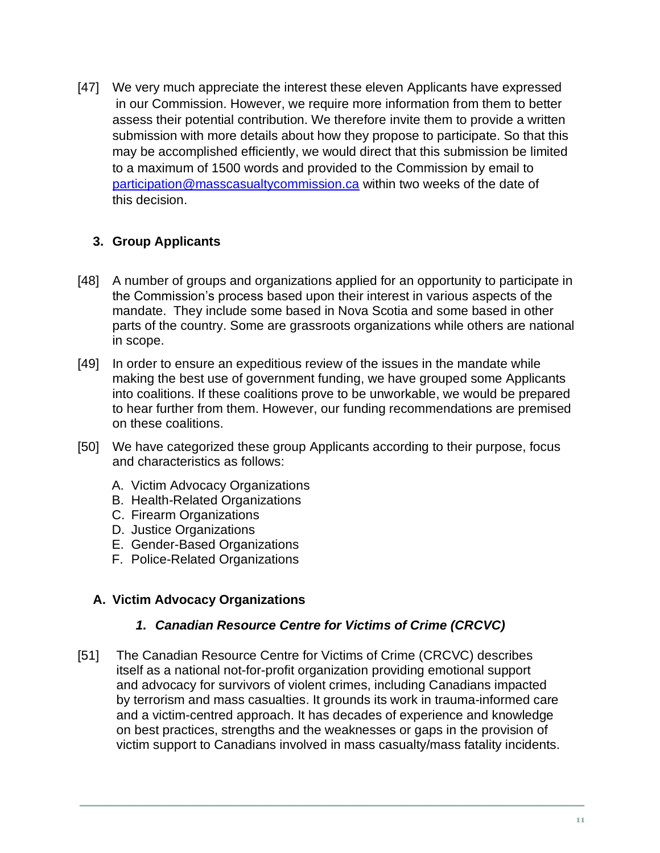[47] We very much appreciate the interest these eleven Applicants have expressed in our Commission. However, we require more information from them to better assess their potential contribution. We therefore invite them to provide a written submission with more details about how they propose to participate. So that this may be accomplished efficiently, we would direct that this submission be limited to a maximum of 1500 words and provided to the Commission by email to [participation@masscasualtycommission.ca](mailto:participation@masscasualtycommission.ca) within two weeks of the date of this decision.

## <span id="page-10-0"></span>**3. Group Applicants**

- [48] A number of groups and organizations applied for an opportunity to participate in the Commission's process based upon their interest in various aspects of the mandate. They include some based in Nova Scotia and some based in other parts of the country. Some are grassroots organizations while others are national in scope.
- [49] In order to ensure an expeditious review of the issues in the mandate while making the best use of government funding, we have grouped some Applicants into coalitions. If these coalitions prove to be unworkable, we would be prepared to hear further from them. However, our funding recommendations are premised on these coalitions.
- [50] We have categorized these group Applicants according to their purpose, focus and characteristics as follows:
	- A. Victim Advocacy Organizations
	- B. Health-Related Organizations
	- C. Firearm Organizations
	- D. Justice Organizations
	- E. Gender-Based Organizations
	- F. Police-Related Organizations

#### <span id="page-10-1"></span>**A. Victim Advocacy Organizations**

#### *1. Canadian Resource Centre for Victims of Crime (CRCVC)*

[51] The Canadian Resource Centre for Victims of Crime (CRCVC) describes itself as a national not-for-profit organization providing emotional support and advocacy for survivors of violent crimes, including Canadians impacted by terrorism and mass casualties. It grounds its work in trauma-informed care and a victim-centred approach. It has decades of experience and knowledge on best practices, strengths and the weaknesses or gaps in the provision of victim support to Canadians involved in mass casualty/mass fatality incidents.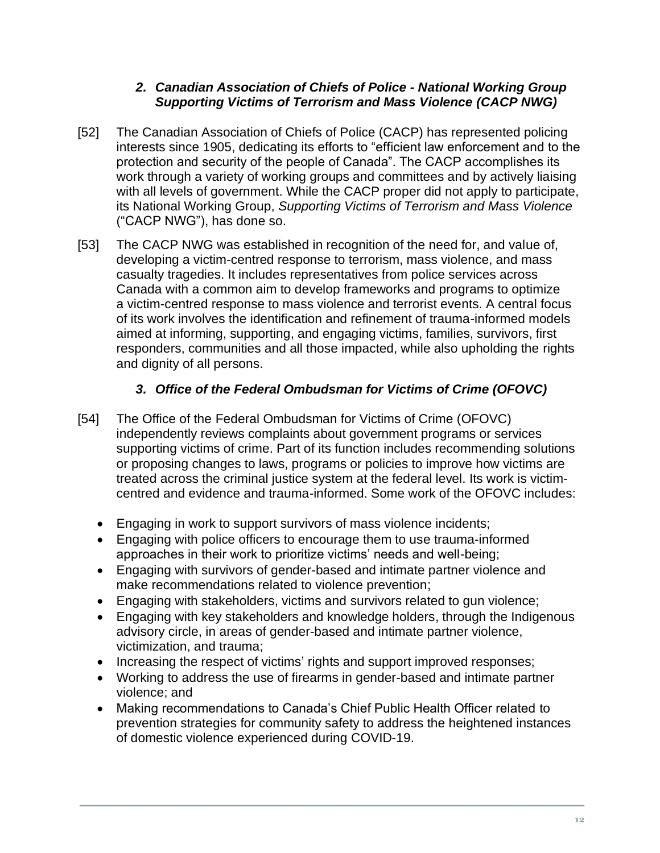## *2. Canadian Association of Chiefs of Police - National Working Group Supporting Victims of Terrorism and Mass Violence (CACP NWG)*

- [52] The Canadian Association of Chiefs of Police (CACP) has represented policing interests since 1905, dedicating its efforts to "efficient law enforcement and to the protection and security of the people of Canada". The CACP accomplishes its work through a variety of working groups and committees and by actively liaising with all levels of government. While the CACP proper did not apply to participate, its National Working Group, *Supporting Victims of Terrorism and Mass Violence* ("CACP NWG"), has done so.
- [53] The CACP NWG was established in recognition of the need for, and value of, developing a victim-centred response to terrorism, mass violence, and mass casualty tragedies. It includes representatives from police services across Canada with a common aim to develop frameworks and programs to optimize a victim-centred response to mass violence and terrorist events. A central focus of its work involves the identification and refinement of trauma-informed models aimed at informing, supporting, and engaging victims, families, survivors, first responders, communities and all those impacted, while also upholding the rights and dignity of all persons.

## *3. Office of the Federal Ombudsman for Victims of Crime (OFOVC)*

- [54] The Office of the Federal Ombudsman for Victims of Crime (OFOVC) independently reviews complaints about government programs or services supporting victims of crime. Part of its function includes recommending solutions or proposing changes to laws, programs or policies to improve how victims are treated across the criminal justice system at the federal level. Its work is victimcentred and evidence and trauma-informed. Some work of the OFOVC includes:
	- Engaging in work to support survivors of mass violence incidents;
	- Engaging with police officers to encourage them to use trauma-informed approaches in their work to prioritize victims' needs and well-being;
	- Engaging with survivors of gender-based and intimate partner violence and make recommendations related to violence prevention;
	- Engaging with stakeholders, victims and survivors related to gun violence;
	- Engaging with key stakeholders and knowledge holders, through the Indigenous advisory circle, in areas of gender-based and intimate partner violence, victimization, and trauma;
	- Increasing the respect of victims' rights and support improved responses;
	- Working to address the use of firearms in gender-based and intimate partner violence; and
	- Making recommendations to Canada's Chief Public Health Officer related to prevention strategies for community safety to address the heightened instances of domestic violence experienced during COVID-19.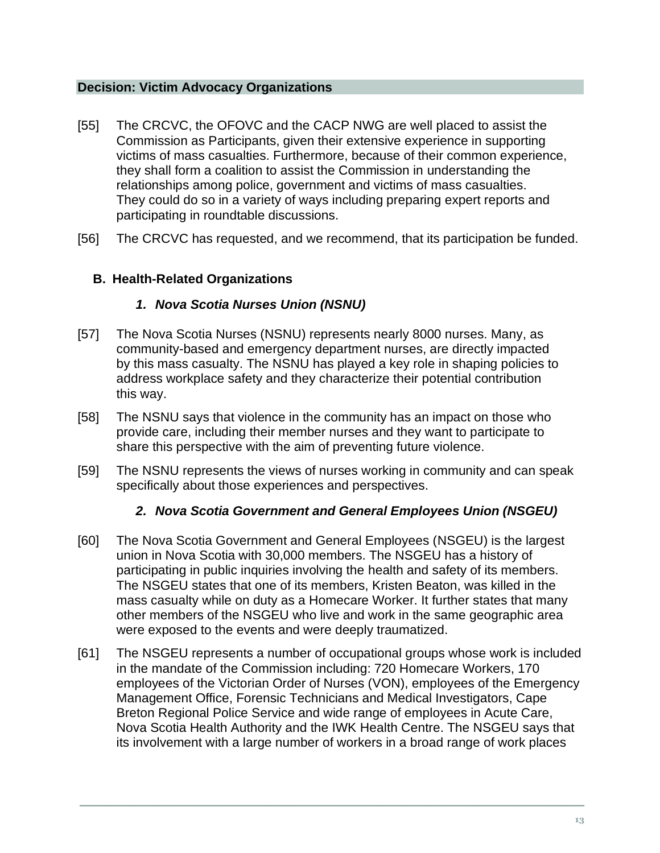#### **Decision: Victim Advocacy Organizations**

- [55] The CRCVC, the OFOVC and the CACP NWG are well placed to assist the Commission as Participants, given their extensive experience in supporting victims of mass casualties. Furthermore, because of their common experience, they shall form a coalition to assist the Commission in understanding the relationships among police, government and victims of mass casualties. They could do so in a variety of ways including preparing expert reports and participating in roundtable discussions.
- [56] The CRCVC has requested, and we recommend, that its participation be funded.

## <span id="page-12-0"></span>**B. Health-Related Organizations**

## *1. Nova Scotia Nurses Union (NSNU)*

- [57] The Nova Scotia Nurses (NSNU) represents nearly 8000 nurses. Many, as community-based and emergency department nurses, are directly impacted by this mass casualty. The NSNU has played a key role in shaping policies to address workplace safety and they characterize their potential contribution this way.
- [58] The NSNU says that violence in the community has an impact on those who provide care, including their member nurses and they want to participate to share this perspective with the aim of preventing future violence.
- [59] The NSNU represents the views of nurses working in community and can speak specifically about those experiences and perspectives.

## *2. Nova Scotia Government and General Employees Union (NSGEU)*

- [60] The Nova Scotia Government and General Employees (NSGEU) is the largest union in Nova Scotia with 30,000 members. The NSGEU has a history of participating in public inquiries involving the health and safety of its members. The NSGEU states that one of its members, Kristen Beaton, was killed in the mass casualty while on duty as a Homecare Worker. It further states that many other members of the NSGEU who live and work in the same geographic area were exposed to the events and were deeply traumatized.
- [61] The NSGEU represents a number of occupational groups whose work is included in the mandate of the Commission including: 720 Homecare Workers, 170 employees of the Victorian Order of Nurses (VON), employees of the Emergency Management Office, Forensic Technicians and Medical Investigators, Cape Breton Regional Police Service and wide range of employees in Acute Care, Nova Scotia Health Authority and the IWK Health Centre. The NSGEU says that its involvement with a large number of workers in a broad range of work places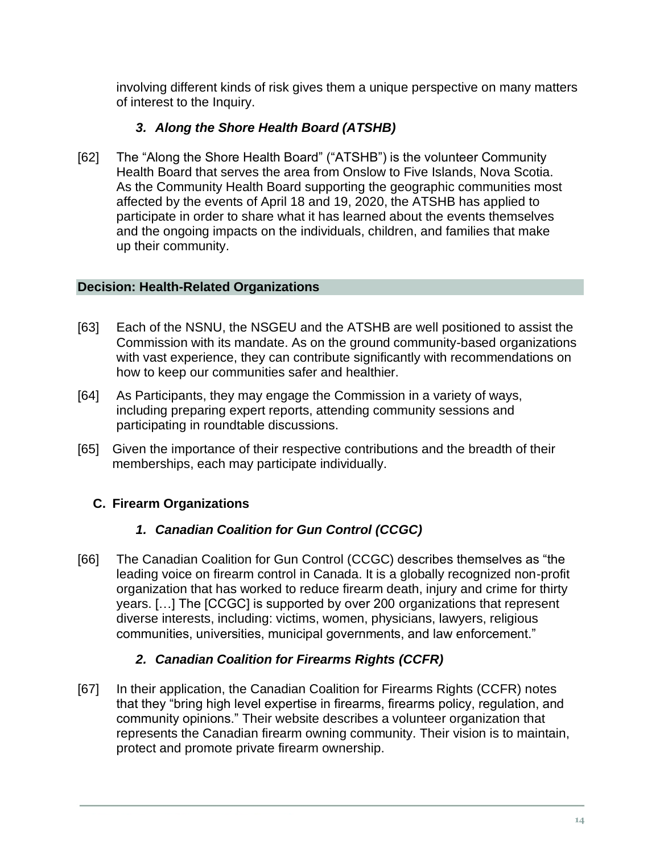involving different kinds of risk gives them a unique perspective on many matters of interest to the Inquiry.

## *3. Along the Shore Health Board (ATSHB)*

[62] The "Along the Shore Health Board" ("ATSHB") is the volunteer Community Health Board that serves the area from Onslow to Five Islands, Nova Scotia. As the Community Health Board supporting the geographic communities most affected by the events of April 18 and 19, 2020, the ATSHB has applied to participate in order to share what it has learned about the events themselves and the ongoing impacts on the individuals, children, and families that make up their community.

## **Decision: Health-Related Organizations**

- [63] Each of the NSNU, the NSGEU and the ATSHB are well positioned to assist the Commission with its mandate. As on the ground community-based organizations with vast experience, they can contribute significantly with recommendations on how to keep our communities safer and healthier.
- [64] As Participants, they may engage the Commission in a variety of ways, including preparing expert reports, attending community sessions and participating in roundtable discussions.
- [65] Given the importance of their respective contributions and the breadth of their memberships, each may participate individually.

## <span id="page-13-0"></span>**C. Firearm Organizations**

## *1. Canadian Coalition for Gun Control (CCGC)*

[66] The Canadian Coalition for Gun Control (CCGC) describes themselves as "the leading voice on firearm control in Canada. It is a globally recognized non-profit organization that has worked to reduce firearm death, injury and crime for thirty years. […] The [CCGC] is supported by over 200 organizations that represent diverse interests, including: victims, women, physicians, lawyers, religious communities, universities, municipal governments, and law enforcement."

## *2. Canadian Coalition for Firearms Rights (CCFR)*

[67] In their application, the Canadian Coalition for Firearms Rights (CCFR) notes that they "bring high level expertise in firearms, firearms policy, regulation, and community opinions." Their website describes a volunteer organization that represents the Canadian firearm owning community. Their vision is to maintain, protect and promote private firearm ownership.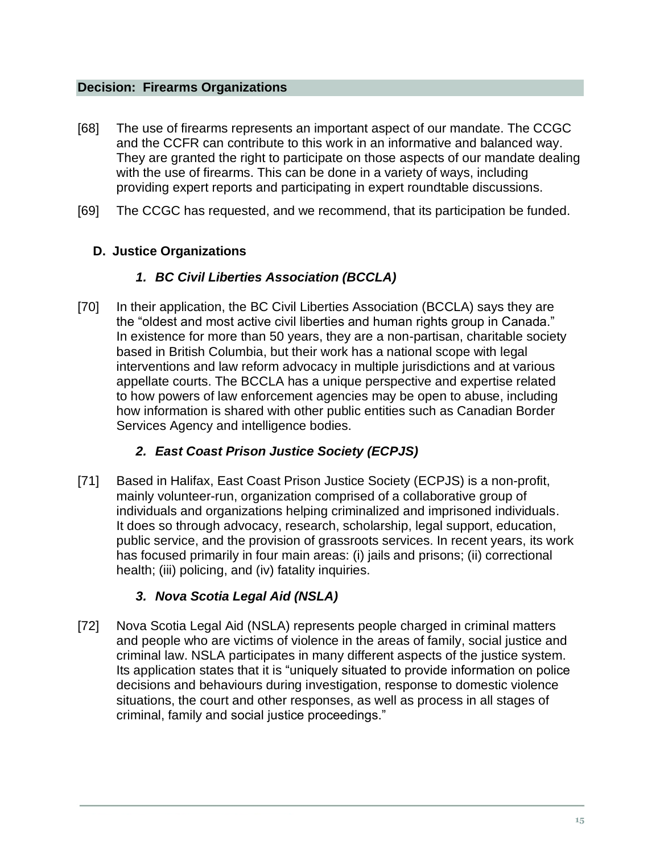#### **Decision: Firearms Organizations**

- [68] The use of firearms represents an important aspect of our mandate. The CCGC and the CCFR can contribute to this work in an informative and balanced way. They are granted the right to participate on those aspects of our mandate dealing with the use of firearms. This can be done in a variety of ways, including providing expert reports and participating in expert roundtable discussions.
- [69] The CCGC has requested, and we recommend, that its participation be funded.

## <span id="page-14-0"></span>**D. Justice Organizations**

## *1. BC Civil Liberties Association (BCCLA)*

[70] In their application, the BC Civil Liberties Association (BCCLA) says they are the "oldest and most active civil liberties and human rights group in Canada." In existence for more than 50 years, they are a non-partisan, charitable society based in British Columbia, but their work has a national scope with legal interventions and law reform advocacy in multiple jurisdictions and at various appellate courts. The BCCLA has a unique perspective and expertise related to how powers of law enforcement agencies may be open to abuse, including how information is shared with other public entities such as Canadian Border Services Agency and intelligence bodies.

## *2. East Coast Prison Justice Society (ECPJS)*

[71] Based in Halifax, East Coast Prison Justice Society (ECPJS) is a non-profit, mainly volunteer-run, organization comprised of a collaborative group of individuals and organizations helping criminalized and imprisoned individuals. It does so through advocacy, research, scholarship, legal support, education, public service, and the provision of grassroots services. In recent years, its work has focused primarily in four main areas: (i) jails and prisons; (ii) correctional health; (iii) policing, and (iv) fatality inquiries.

## *3. Nova Scotia Legal Aid (NSLA)*

[72] Nova Scotia Legal Aid (NSLA) represents people charged in criminal matters and people who are victims of violence in the areas of family, social justice and criminal law. NSLA participates in many different aspects of the justice system. Its application states that it is "uniquely situated to provide information on police decisions and behaviours during investigation, response to domestic violence situations, the court and other responses, as well as process in all stages of criminal, family and social justice proceedings."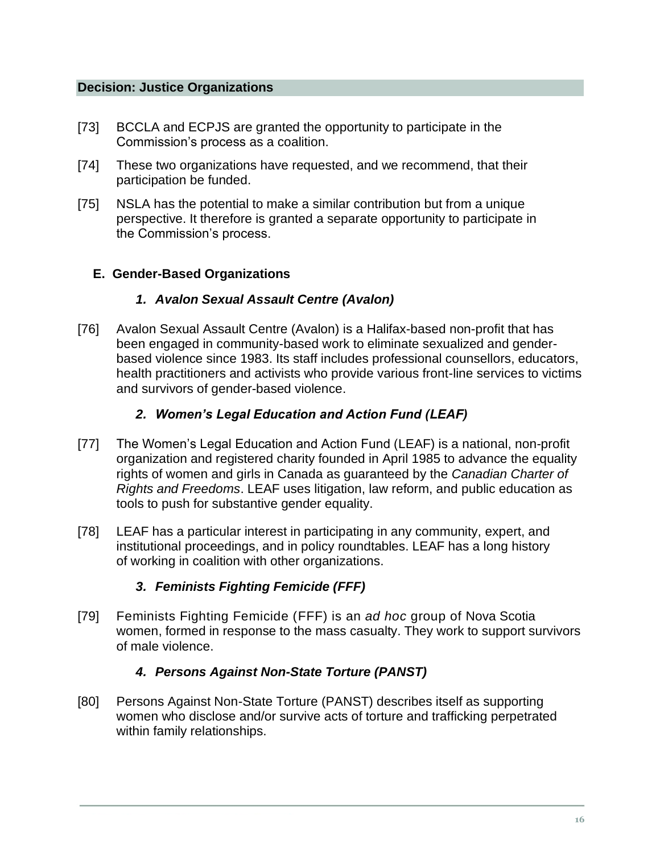#### **Decision: Justice Organizations**

- [73] BCCLA and ECPJS are granted the opportunity to participate in the Commission's process as a coalition.
- [74] These two organizations have requested, and we recommend, that their participation be funded.
- [75] NSLA has the potential to make a similar contribution but from a unique perspective. It therefore is granted a separate opportunity to participate in the Commission's process.

#### <span id="page-15-0"></span>**E. Gender-Based Organizations**

## *1. Avalon Sexual Assault Centre (Avalon)*

[76] Avalon Sexual Assault Centre (Avalon) is a Halifax-based non-profit that has been engaged in community-based work to eliminate sexualized and genderbased violence since 1983. Its staff includes professional counsellors, educators, health practitioners and activists who provide various front-line services to victims and survivors of gender-based violence.

## *2. Women's Legal Education and Action Fund (LEAF)*

- [77] The Women's Legal Education and Action Fund (LEAF) is a national, non-profit organization and registered charity founded in April 1985 to advance the equality rights of women and girls in Canada as guaranteed by the *Canadian Charter of Rights and Freedoms*. LEAF uses litigation, law reform, and public education as tools to push for substantive gender equality.
- [78] LEAF has a particular interest in participating in any community, expert, and institutional proceedings, and in policy roundtables. LEAF has a long history of working in coalition with other organizations.

## *3. Feminists Fighting Femicide (FFF)*

[79] Feminists Fighting Femicide (FFF) is an *ad hoc* group of Nova Scotia women, formed in response to the mass casualty. They work to support survivors of male violence.

## *4. Persons Against Non-State Torture (PANST)*

[80] Persons Against Non-State Torture (PANST) describes itself as supporting women who disclose and/or survive acts of torture and trafficking perpetrated within family relationships.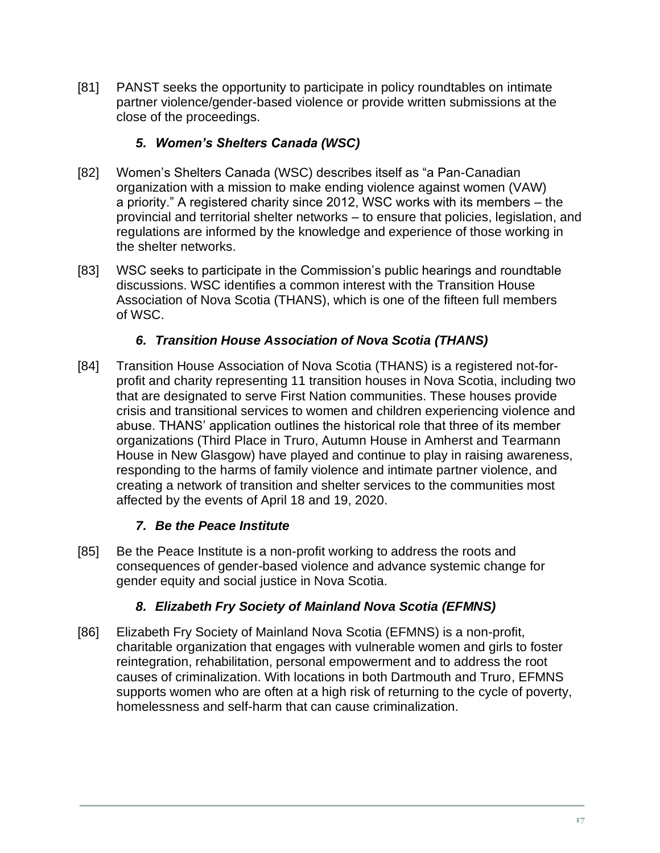[81] PANST seeks the opportunity to participate in policy roundtables on intimate partner violence/gender-based violence or provide written submissions at the close of the proceedings.

## *5. Women's Shelters Canada (WSC)*

- [82] Women's Shelters Canada (WSC) describes itself as "a Pan-Canadian organization with a mission to make ending violence against women (VAW) a priority." A registered charity since 2012, WSC works with its members – the provincial and territorial shelter networks – to ensure that policies, legislation, and regulations are informed by the knowledge and experience of those working in the shelter networks.
- [83] WSC seeks to participate in the Commission's public hearings and roundtable discussions. WSC identifies a common interest with the Transition House Association of Nova Scotia (THANS), which is one of the fifteen full members of WSC.

## *6. Transition House Association of Nova Scotia (THANS)*

[84] Transition House Association of Nova Scotia (THANS) is a registered not-forprofit and charity representing 11 transition houses in Nova Scotia, including two that are designated to serve First Nation communities. These houses provide crisis and transitional services to women and children experiencing violence and abuse. THANS' application outlines the historical role that three of its member organizations (Third Place in Truro, Autumn House in Amherst and Tearmann House in New Glasgow) have played and continue to play in raising awareness, responding to the harms of family violence and intimate partner violence, and creating a network of transition and shelter services to the communities most affected by the events of April 18 and 19, 2020.

#### *7. Be the Peace Institute*

[85] Be the Peace Institute is a non-profit working to address the roots and consequences of gender-based violence and advance systemic change for gender equity and social justice in Nova Scotia.

#### *8. Elizabeth Fry Society of Mainland Nova Scotia (EFMNS)*

[86] Elizabeth Fry Society of Mainland Nova Scotia (EFMNS) is a non-profit, charitable organization that engages with vulnerable women and girls to foster reintegration, rehabilitation, personal empowerment and to address the root causes of criminalization. With locations in both Dartmouth and Truro, EFMNS supports women who are often at a high risk of returning to the cycle of poverty, homelessness and self-harm that can cause criminalization.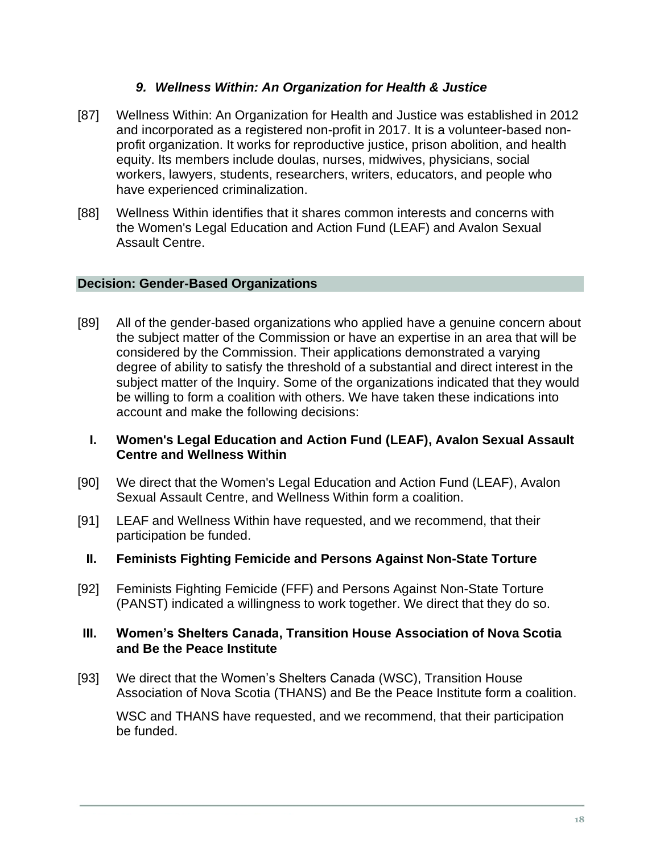### *9. Wellness Within: An Organization for Health & Justice*

- [87] Wellness Within: An Organization for Health and Justice was established in 2012 and incorporated as a registered non-profit in 2017. It is a volunteer-based nonprofit organization. It works for reproductive justice, prison abolition, and health equity. Its members include doulas, nurses, midwives, physicians, social workers, lawyers, students, researchers, writers, educators, and people who have experienced criminalization.
- [88] Wellness Within identifies that it shares common interests and concerns with the Women's Legal Education and Action Fund (LEAF) and Avalon Sexual Assault Centre.

#### **Decision: Gender-Based Organizations**

- [89] All of the gender-based organizations who applied have a genuine concern about the subject matter of the Commission or have an expertise in an area that will be considered by the Commission. Their applications demonstrated a varying degree of ability to satisfy the threshold of a substantial and direct interest in the subject matter of the Inquiry. Some of the organizations indicated that they would be willing to form a coalition with others. We have taken these indications into account and make the following decisions:
	- **I. Women's Legal Education and Action Fund (LEAF), Avalon Sexual Assault Centre and Wellness Within**
- [90] We direct that the Women's Legal Education and Action Fund (LEAF), Avalon Sexual Assault Centre, and Wellness Within form a coalition.
- [91] LEAF and Wellness Within have requested, and we recommend, that their participation be funded.
	- **II. Feminists Fighting Femicide and Persons Against Non-State Torture**
- [92] Feminists Fighting Femicide (FFF) and Persons Against Non-State Torture (PANST) indicated a willingness to work together. We direct that they do so.

#### **III. Women's Shelters Canada, Transition House Association of Nova Scotia and Be the Peace Institute**

[93] We direct that the Women's Shelters Canada (WSC), Transition House Association of Nova Scotia (THANS) and Be the Peace Institute form a coalition.

WSC and THANS have requested, and we recommend, that their participation be funded.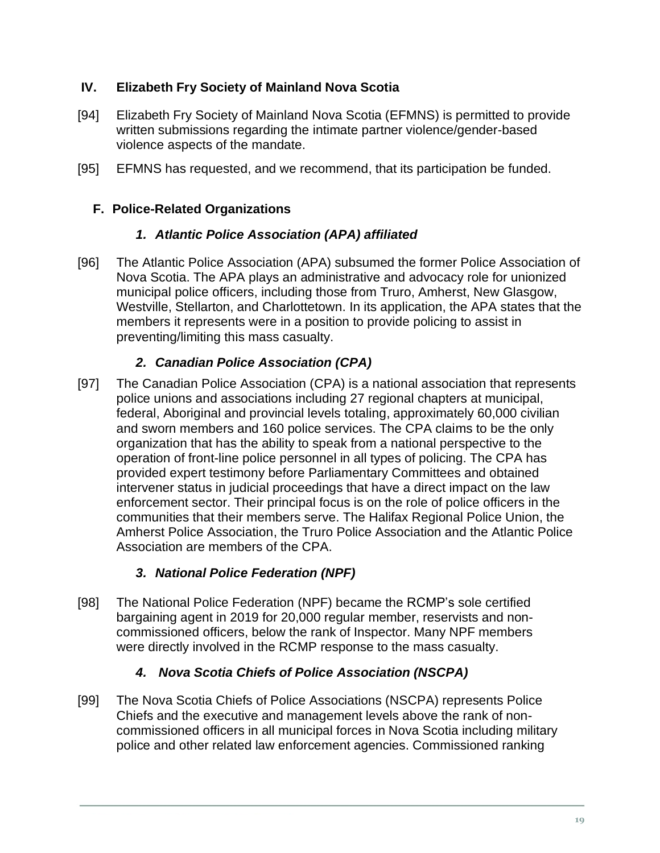## **IV. Elizabeth Fry Society of Mainland Nova Scotia**

- [94] Elizabeth Fry Society of Mainland Nova Scotia (EFMNS) is permitted to provide written submissions regarding the intimate partner violence/gender-based violence aspects of the mandate.
- [95] EFMNS has requested, and we recommend, that its participation be funded.

## <span id="page-18-0"></span>**F. Police-Related Organizations**

## *1. Atlantic Police Association (APA) affiliated*

[96] The Atlantic Police Association (APA) subsumed the former Police Association of Nova Scotia. The APA plays an administrative and advocacy role for unionized municipal police officers, including those from Truro, Amherst, New Glasgow, Westville, Stellarton, and Charlottetown. In its application, the APA states that the members it represents were in a position to provide policing to assist in preventing/limiting this mass casualty.

## *2. Canadian Police Association (CPA)*

[97] The Canadian Police Association (CPA) is a national association that represents police unions and associations including 27 regional chapters at municipal, federal, Aboriginal and provincial levels totaling, approximately 60,000 civilian and sworn members and 160 police services. The CPA claims to be the only organization that has the ability to speak from a national perspective to the operation of front-line police personnel in all types of policing. The CPA has provided expert testimony before Parliamentary Committees and obtained intervener status in judicial proceedings that have a direct impact on the law enforcement sector. Their principal focus is on the role of police officers in the communities that their members serve. The Halifax Regional Police Union, the Amherst Police Association, the Truro Police Association and the Atlantic Police Association are members of the CPA.

## *3. National Police Federation (NPF)*

[98] The National Police Federation (NPF) became the RCMP's sole certified bargaining agent in 2019 for 20,000 regular member, reservists and noncommissioned officers, below the rank of Inspector. Many NPF members were directly involved in the RCMP response to the mass casualty.

## *4. Nova Scotia Chiefs of Police Association (NSCPA)*

[99] The Nova Scotia Chiefs of Police Associations (NSCPA) represents Police Chiefs and the executive and management levels above the rank of noncommissioned officers in all municipal forces in Nova Scotia including military police and other related law enforcement agencies. Commissioned ranking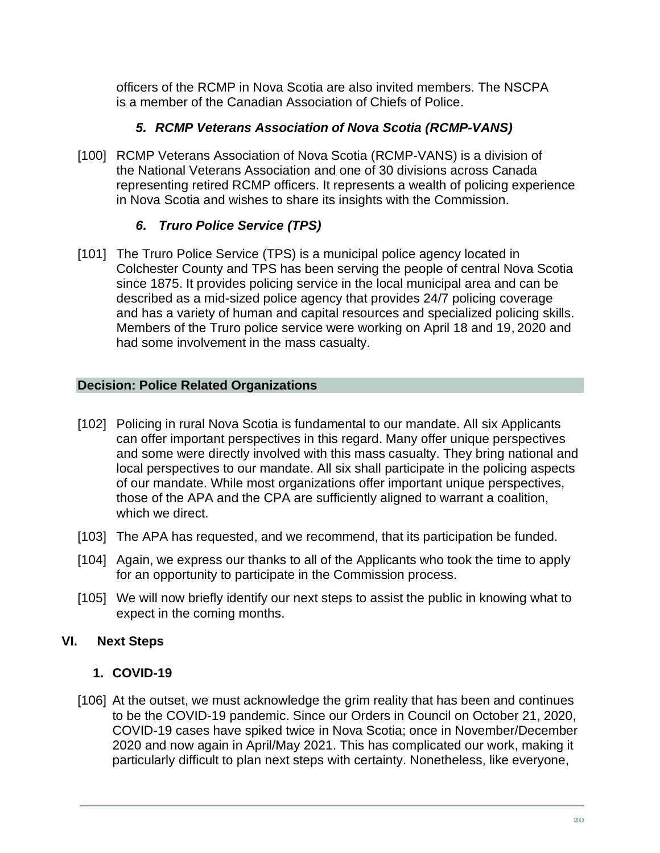officers of the RCMP in Nova Scotia are also invited members. The NSCPA is a member of the Canadian Association of Chiefs of Police.

## *5. RCMP Veterans Association of Nova Scotia (RCMP-VANS)*

[100] RCMP Veterans Association of Nova Scotia (RCMP-VANS) is a division of the National Veterans Association and one of 30 divisions across Canada representing retired RCMP officers. It represents a wealth of policing experience in Nova Scotia and wishes to share its insights with the Commission.

## *6. Truro Police Service (TPS)*

[101] The Truro Police Service (TPS) is a municipal police agency located in Colchester County and TPS has been serving the people of central Nova Scotia since 1875. It provides policing service in the local municipal area and can be described as a mid-sized police agency that provides 24/7 policing coverage and has a variety of human and capital resources and specialized policing skills. Members of the Truro police service were working on April 18 and 19, 2020 and had some involvement in the mass casualty.

## **Decision: Police Related Organizations**

- [102] Policing in rural Nova Scotia is fundamental to our mandate. All six Applicants can offer important perspectives in this regard. Many offer unique perspectives and some were directly involved with this mass casualty. They bring national and local perspectives to our mandate. All six shall participate in the policing aspects of our mandate. While most organizations offer important unique perspectives, those of the APA and the CPA are sufficiently aligned to warrant a coalition, which we direct.
- [103] The APA has requested, and we recommend, that its participation be funded.
- [104] Again, we express our thanks to all of the Applicants who took the time to apply for an opportunity to participate in the Commission process.
- [105] We will now briefly identify our next steps to assist the public in knowing what to expect in the coming months.

## <span id="page-19-0"></span>**VI. Next Steps**

## <span id="page-19-1"></span>**1. COVID-19**

[106] At the outset, we must acknowledge the grim reality that has been and continues to be the COVID-19 pandemic. Since our Orders in Council on October 21, 2020, COVID-19 cases have spiked twice in Nova Scotia; once in November/December 2020 and now again in April/May 2021. This has complicated our work, making it particularly difficult to plan next steps with certainty. Nonetheless, like everyone,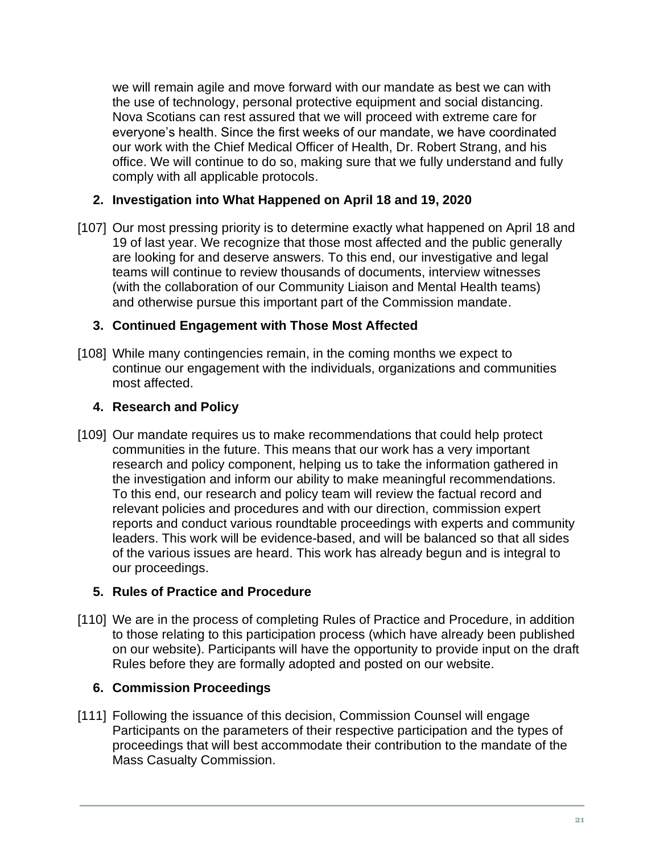we will remain agile and move forward with our mandate as best we can with the use of technology, personal protective equipment and social distancing. Nova Scotians can rest assured that we will proceed with extreme care for everyone's health. Since the first weeks of our mandate, we have coordinated our work with the Chief Medical Officer of Health, Dr. Robert Strang, and his office. We will continue to do so, making sure that we fully understand and fully comply with all applicable protocols.

## <span id="page-20-0"></span>**2. Investigation into What Happened on April 18 and 19, 2020**

[107] Our most pressing priority is to determine exactly what happened on April 18 and 19 of last year. We recognize that those most affected and the public generally are looking for and deserve answers. To this end, our investigative and legal teams will continue to review thousands of documents, interview witnesses (with the collaboration of our Community Liaison and Mental Health teams) and otherwise pursue this important part of the Commission mandate.

#### <span id="page-20-1"></span>**3. Continued Engagement with Those Most Affected**

[108] While many contingencies remain, in the coming months we expect to continue our engagement with the individuals, organizations and communities most affected.

#### <span id="page-20-2"></span>**4. Research and Policy**

[109] Our mandate requires us to make recommendations that could help protect communities in the future. This means that our work has a very important research and policy component, helping us to take the information gathered in the investigation and inform our ability to make meaningful recommendations. To this end, our research and policy team will review the factual record and relevant policies and procedures and with our direction, commission expert reports and conduct various roundtable proceedings with experts and community leaders. This work will be evidence-based, and will be balanced so that all sides of the various issues are heard. This work has already begun and is integral to our proceedings.

#### <span id="page-20-3"></span>**5. Rules of Practice and Procedure**

[110] We are in the process of completing Rules of Practice and Procedure, in addition to those relating to this participation process (which have already been published on our website). Participants will have the opportunity to provide input on the draft Rules before they are formally adopted and posted on our website.

#### <span id="page-20-4"></span>**6. Commission Proceedings**

[111] Following the issuance of this decision, Commission Counsel will engage Participants on the parameters of their respective participation and the types of proceedings that will best accommodate their contribution to the mandate of the Mass Casualty Commission.